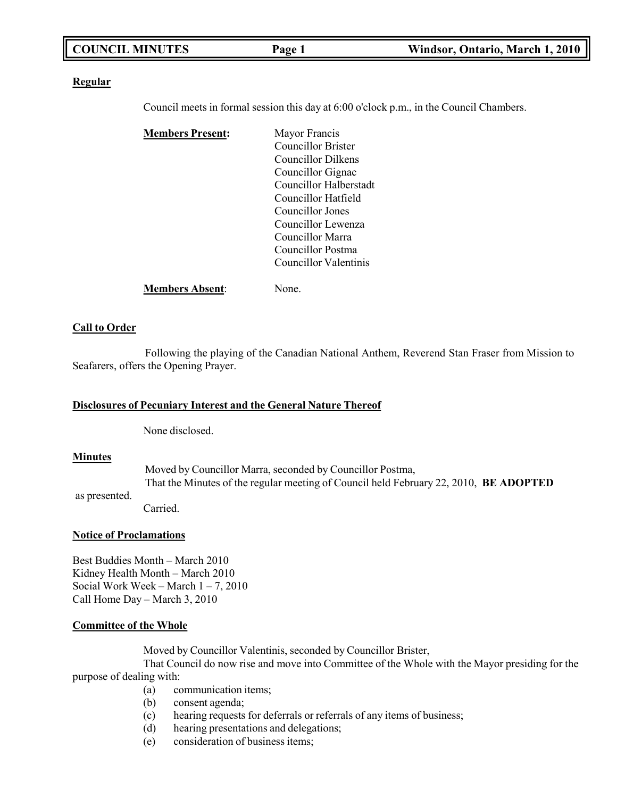|--|

### **Regular**

Council meets in formal session this day at 6:00 o'clock p.m., in the Council Chambers.

| <b>Members Present:</b> | Mayor Francis             |
|-------------------------|---------------------------|
|                         | <b>Councillor Brister</b> |
|                         | Councillor Dilkens        |
|                         | Councillor Gignac         |
|                         | Councillor Halberstadt    |
|                         | Councillor Hatfield       |
|                         | Councillor Jones          |
|                         | Councillor Lewenza        |
|                         | Councillor Marra          |
|                         | Councillor Postma         |
|                         | Councillor Valentinis     |
| <b>Members Absent:</b>  | None.                     |

## **Call to Order**

Following the playing of the Canadian National Anthem, Reverend Stan Fraser from Mission to Seafarers, offers the Opening Prayer.

### **Disclosures of Pecuniary Interest and the General Nature Thereof**

None disclosed.

### **Minutes**

Moved by Councillor Marra, seconded by Councillor Postma, That the Minutes of the regular meeting of Council held February 22, 2010, **BE ADOPTED**

as presented.

Carried.

### **Notice of Proclamations**

Best Buddies Month – March 2010 Kidney Health Month – March 2010 Social Work Week – March  $1 - 7$ , 2010 Call Home Day – March 3, 2010

#### **Committee of the Whole**

Moved by Councillor Valentinis, seconded by Councillor Brister,

That Council do now rise and move into Committee of the Whole with the Mayor presiding for the purpose of dealing with:

- (a) communication items;
- (b) consent agenda;
- (c) hearing requests for deferrals or referrals of any items of business;
- (d) hearing presentations and delegations;
- (e) consideration of business items;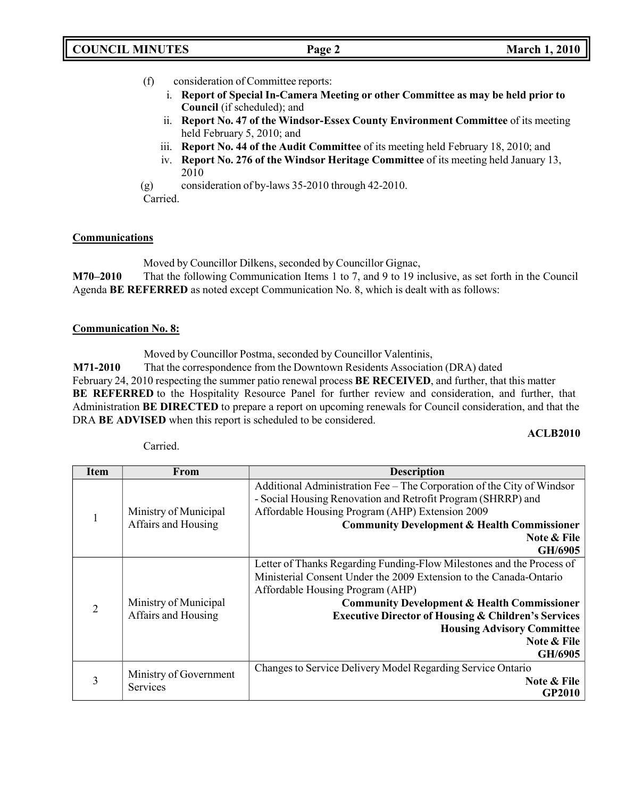- (f) consideration of Committee reports:
	- i. **Report of Special In-Camera Meeting or other Committee as may be held prior to Council** (if scheduled); and
	- ii. **Report No. 47 of the Windsor-Essex County Environment Committee** of its meeting held February 5, 2010; and
	- iii. **Report No. 44 of the Audit Committee** of its meeting held February 18, 2010; and
	- iv. **Report No. 276 of the Windsor Heritage Committee** of its meeting held January 13, 2010
- (g) consideration of by-laws 35-2010 through 42-2010.

Carried.

## **Communications**

Moved by Councillor Dilkens, seconded by Councillor Gignac,

**M70–2010** That the following Communication Items 1 to 7, and 9 to 19 inclusive, as set forth in the Council Agenda **BE REFERRED** as noted except Communication No. 8, which is dealt with as follows:

## **Communication No. 8:**

Moved by Councillor Postma, seconded by Councillor Valentinis,

**M71-2010** That the correspondence from the Downtown Residents Association (DRA) dated February 24, 2010 respecting the summer patio renewal process **BE RECEIVED**, and further, that this matter **BE REFERRED** to the Hospitality Resource Panel for further review and consideration, and further, that Administration **BE DIRECTED** to prepare a report on upcoming renewals for Council consideration, and that the DRA **BE ADVISED** when this report is scheduled to be considered.

## **ACLB2010**

| Item           | From                                         | <b>Description</b>                                                                                                                                                                                                                                                            |  |
|----------------|----------------------------------------------|-------------------------------------------------------------------------------------------------------------------------------------------------------------------------------------------------------------------------------------------------------------------------------|--|
| 1              | Ministry of Municipal<br>Affairs and Housing | Additional Administration Fee – The Corporation of the City of Windsor<br>- Social Housing Renovation and Retrofit Program (SHRRP) and<br>Affordable Housing Program (AHP) Extension 2009<br><b>Community Development &amp; Health Commissioner</b><br>Note & File<br>GH/6905 |  |
|                |                                              | Letter of Thanks Regarding Funding-Flow Milestones and the Process of                                                                                                                                                                                                         |  |
|                |                                              | Ministerial Consent Under the 2009 Extension to the Canada-Ontario<br>Affordable Housing Program (AHP)                                                                                                                                                                        |  |
| $\overline{2}$ | Ministry of Municipal                        | <b>Community Development &amp; Health Commissioner</b>                                                                                                                                                                                                                        |  |
|                | Affairs and Housing                          | <b>Executive Director of Housing &amp; Children's Services</b>                                                                                                                                                                                                                |  |
|                |                                              | <b>Housing Advisory Committee</b>                                                                                                                                                                                                                                             |  |
|                |                                              | Note & File                                                                                                                                                                                                                                                                   |  |
|                |                                              | GH/6905                                                                                                                                                                                                                                                                       |  |
|                | Ministry of Government                       | Changes to Service Delivery Model Regarding Service Ontario                                                                                                                                                                                                                   |  |
| 3              | Services                                     | Note & File                                                                                                                                                                                                                                                                   |  |
|                |                                              | GP2010                                                                                                                                                                                                                                                                        |  |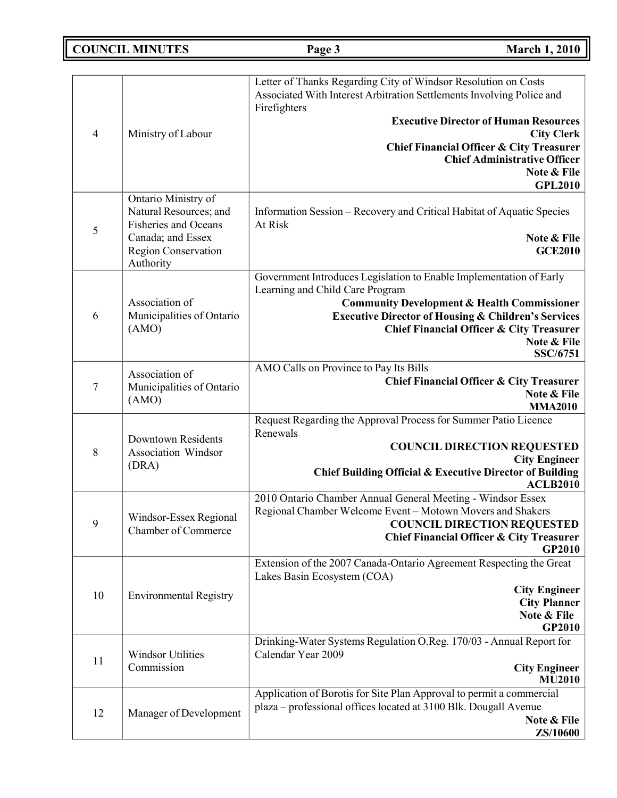**COUNCIL MINUTES Page 3 March 1, 2010**

|                |                                                         | Letter of Thanks Regarding City of Windsor Resolution on Costs                       |
|----------------|---------------------------------------------------------|--------------------------------------------------------------------------------------|
|                |                                                         | Associated With Interest Arbitration Settlements Involving Police and                |
|                |                                                         | Firefighters                                                                         |
|                |                                                         | <b>Executive Director of Human Resources</b>                                         |
| $\overline{4}$ | Ministry of Labour                                      | <b>City Clerk</b>                                                                    |
|                |                                                         | <b>Chief Financial Officer &amp; City Treasurer</b>                                  |
|                |                                                         | <b>Chief Administrative Officer</b>                                                  |
|                |                                                         | Note & File<br><b>GPL2010</b>                                                        |
|                | Ontario Ministry of                                     |                                                                                      |
|                | Natural Resources; and                                  | Information Session - Recovery and Critical Habitat of Aquatic Species               |
| $\mathfrak s$  | Fisheries and Oceans                                    | At Risk                                                                              |
|                | Canada; and Essex                                       | Note & File                                                                          |
|                | Region Conservation<br>Authority                        | <b>GCE2010</b>                                                                       |
|                |                                                         | Government Introduces Legislation to Enable Implementation of Early                  |
|                |                                                         | Learning and Child Care Program                                                      |
|                | Association of                                          | <b>Community Development &amp; Health Commissioner</b>                               |
| 6              | Municipalities of Ontario                               | <b>Executive Director of Housing &amp; Children's Services</b>                       |
|                | (AMO)                                                   | <b>Chief Financial Officer &amp; City Treasurer</b>                                  |
|                |                                                         | Note & File<br><b>SSC/6751</b>                                                       |
|                |                                                         | AMO Calls on Province to Pay Its Bills                                               |
| 7              | Association of<br>Municipalities of Ontario             | <b>Chief Financial Officer &amp; City Treasurer</b>                                  |
|                | (AMO)                                                   | Note & File                                                                          |
|                |                                                         | <b>MMA2010</b><br>Request Regarding the Approval Process for Summer Patio Licence    |
|                |                                                         | Renewals                                                                             |
| $\,8\,$        | <b>Downtown Residents</b><br><b>Association Windsor</b> | <b>COUNCIL DIRECTION REQUESTED</b>                                                   |
|                | (DRA)                                                   | <b>City Engineer</b>                                                                 |
|                |                                                         | Chief Building Official & Executive Director of Building<br><b>ACLB2010</b>          |
|                |                                                         | 2010 Ontario Chamber Annual General Meeting - Windsor Essex                          |
|                | Windsor-Essex Regional                                  | Regional Chamber Welcome Event - Motown Movers and Shakers                           |
| 9              | Chamber of Commerce                                     | <b>COUNCIL DIRECTION REQUESTED</b>                                                   |
|                |                                                         | <b>Chief Financial Officer &amp; City Treasurer</b>                                  |
|                |                                                         | <b>GP2010</b><br>Extension of the 2007 Canada-Ontario Agreement Respecting the Great |
|                |                                                         | Lakes Basin Ecosystem (COA)                                                          |
| 10             | <b>Environmental Registry</b>                           | <b>City Engineer</b>                                                                 |
|                |                                                         | <b>City Planner</b>                                                                  |
|                |                                                         | Note & File                                                                          |
|                |                                                         | <b>GP2010</b><br>Drinking-Water Systems Regulation O.Reg. 170/03 - Annual Report for |
|                | <b>Windsor Utilities</b><br>Commission                  | Calendar Year 2009                                                                   |
| 11             |                                                         | <b>City Engineer</b>                                                                 |
|                |                                                         | <b>MU2010</b>                                                                        |
|                |                                                         | Application of Borotis for Site Plan Approval to permit a commercial                 |
| 12             | Manager of Development                                  | plaza - professional offices located at 3100 Blk. Dougall Avenue<br>Note & File      |
|                |                                                         | ZS/10600                                                                             |
|                |                                                         |                                                                                      |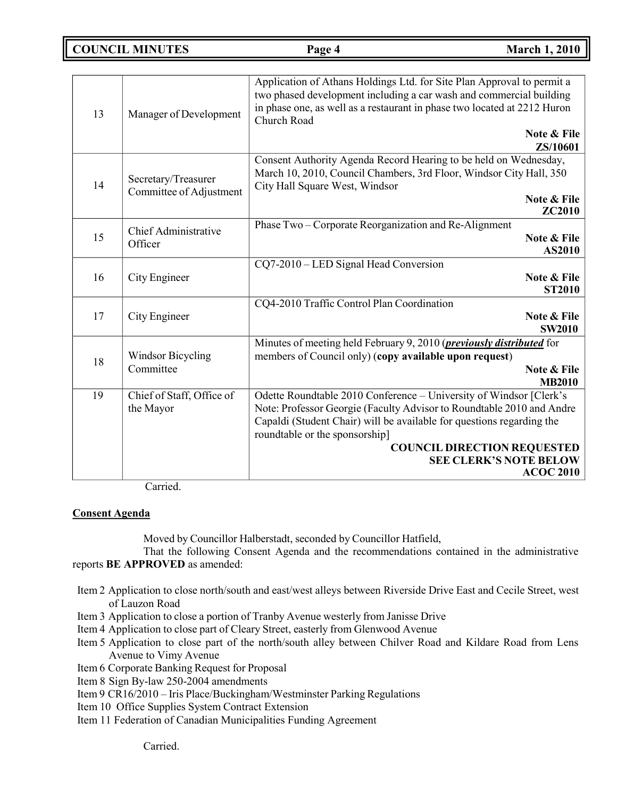**COUNCIL MINUTES Page 4 March 1, 2010**

| 13 | Manager of Development                         | Application of Athans Holdings Ltd. for Site Plan Approval to permit a<br>two phased development including a car wash and commercial building<br>in phase one, as well as a restaurant in phase two located at 2212 Huron<br>Church Road                                                                                                          |  |
|----|------------------------------------------------|---------------------------------------------------------------------------------------------------------------------------------------------------------------------------------------------------------------------------------------------------------------------------------------------------------------------------------------------------|--|
|    |                                                | Note & File<br>ZS/10601                                                                                                                                                                                                                                                                                                                           |  |
| 14 | Secretary/Treasurer<br>Committee of Adjustment | Consent Authority Agenda Record Hearing to be held on Wednesday,<br>March 10, 2010, Council Chambers, 3rd Floor, Windsor City Hall, 350<br>City Hall Square West, Windsor<br>Note & File<br>ZC2010                                                                                                                                                |  |
| 15 | <b>Chief Administrative</b><br>Officer         | Phase Two - Corporate Reorganization and Re-Alignment<br>Note & File<br>AS2010                                                                                                                                                                                                                                                                    |  |
| 16 | City Engineer                                  | CQ7-2010 – LED Signal Head Conversion<br>Note & File<br><b>ST2010</b>                                                                                                                                                                                                                                                                             |  |
| 17 | City Engineer                                  | CQ4-2010 Traffic Control Plan Coordination<br>Note & File<br><b>SW2010</b>                                                                                                                                                                                                                                                                        |  |
| 18 | <b>Windsor Bicycling</b><br>Committee          | Minutes of meeting held February 9, 2010 ( <i>previously distributed</i> for<br>members of Council only) (copy available upon request)<br>Note & File<br><b>MB2010</b>                                                                                                                                                                            |  |
| 19 | Chief of Staff, Office of<br>the Mayor         | Odette Roundtable 2010 Conference - University of Windsor [Clerk's<br>Note: Professor Georgie (Faculty Advisor to Roundtable 2010 and Andre<br>Capaldi (Student Chair) will be available for questions regarding the<br>roundtable or the sponsorship]<br><b>COUNCIL DIRECTION REQUESTED</b><br><b>SEE CLERK'S NOTE BELOW</b><br><b>ACOC 2010</b> |  |

Carried.

## **Consent Agenda**

Moved by Councillor Halberstadt, seconded by Councillor Hatfield,

That the following Consent Agenda and the recommendations contained in the administrative reports **BE APPROVED** as amended:

- Item 2 Application to close north/south and east/west alleys between Riverside Drive East and Cecile Street, west of Lauzon Road
- Item 3 Application to close a portion of Tranby Avenue westerly from Janisse Drive
- Item 4 Application to close part of Cleary Street, easterly from Glenwood Avenue
- Item 5 Application to close part of the north/south alley between Chilver Road and Kildare Road from Lens Avenue to Vimy Avenue
- Item 6 Corporate Banking Request for Proposal
- Item 8 Sign By-law 250-2004 amendments
- Item 9 CR16/2010 Iris Place/Buckingham/Westminster Parking Regulations
- Item 10 Office Supplies System Contract Extension
- Item 11 Federation of Canadian Municipalities Funding Agreement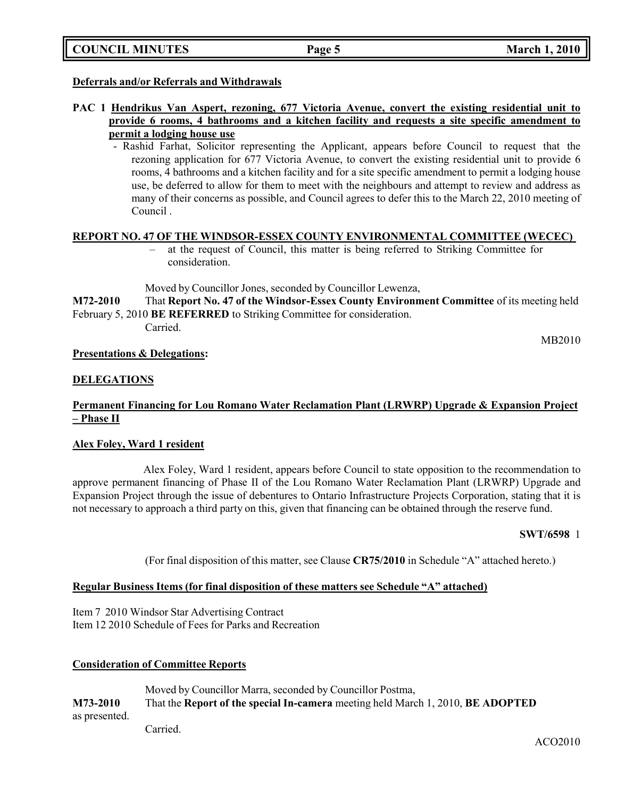|  | <b>COUNCIL MINUTES</b> |
|--|------------------------|
|--|------------------------|

## **Deferrals and/or Referrals and Withdrawals**

- **PAC 1 Hendrikus Van Aspert, rezoning, 677 Victoria Avenue, convert the existing residential unit to provide 6 rooms, 4 bathrooms and a kitchen facility and requests a site specific amendment to permit a lodging house use**
	- Rashid Farhat, Solicitor representing the Applicant, appears before Council to request that the rezoning application for 677 Victoria Avenue, to convert the existing residential unit to provide 6 rooms, 4 bathrooms and a kitchen facility and for a site specific amendment to permit a lodging house use, be deferred to allow for them to meet with the neighbours and attempt to review and address as many of their concerns as possible, and Council agrees to defer this to the March 22, 2010 meeting of Council .

### **REPORT NO. 47 OF THE WINDSOR-ESSEX COUNTY ENVIRONMENTAL COMMITTEE (WECEC)**

– at the request of Council, this matter is being referred to Striking Committee for consideration.

Moved by Councillor Jones, seconded by Councillor Lewenza,

**M72-2010** That **Report No. 47 of the Windsor-Essex County Environment Committee** of its meeting held February 5, 2010 **BE REFERRED** to Striking Committee for consideration.

Carried.

MB2010

### **Presentations & Delegations:**

## **DELEGATIONS**

## **Permanent Financing for Lou Romano Water Reclamation Plant (LRWRP) Upgrade & Expansion Project – Phase II**

## **Alex Foley, Ward 1 resident**

Alex Foley, Ward 1 resident, appears before Council to state opposition to the recommendation to approve permanent financing of Phase II of the Lou Romano Water Reclamation Plant (LRWRP) Upgrade and Expansion Project through the issue of debentures to Ontario Infrastructure Projects Corporation, stating that it is not necessary to approach a third party on this, given that financing can be obtained through the reserve fund.

### **SWT/6598** 1

(For final disposition of this matter, see Clause **CR75/2010** in Schedule "A" attached hereto.)

## **Regular Business Items (for final disposition of these matters see Schedule "A" attached)**

Item 7 2010 Windsor Star Advertising Contract Item 12 2010 Schedule of Fees for Parks and Recreation

## **Consideration of Committee Reports**

Moved by Councillor Marra, seconded by Councillor Postma, **M73-2010** That the **Report of the special In-camera** meeting held March 1, 2010, **BE ADOPTED** as presented. Carried.

ACO2010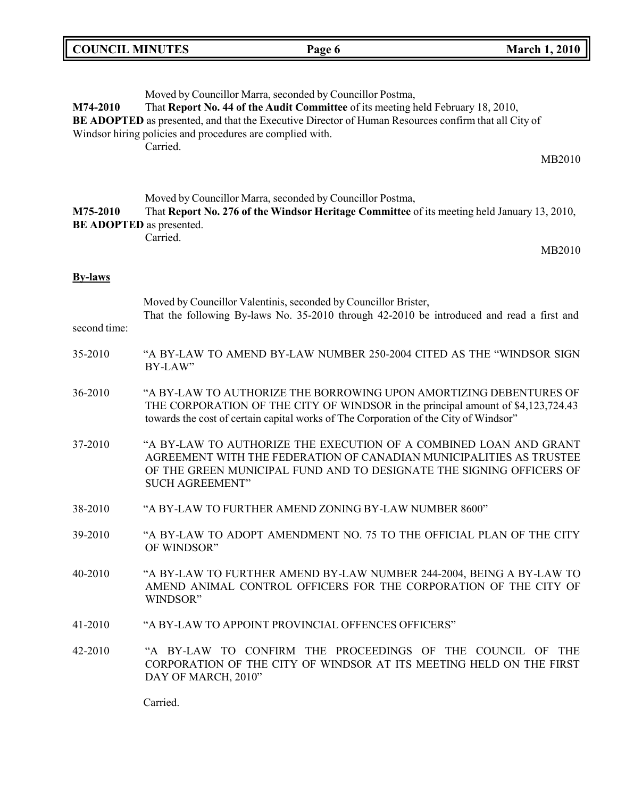| <b>COUNCIL MINUTES</b> |                                                                       | Page 6                                                                                                                                                                                                                                                | <b>March 1, 2010</b>                                                                                                                                                                                             |
|------------------------|-----------------------------------------------------------------------|-------------------------------------------------------------------------------------------------------------------------------------------------------------------------------------------------------------------------------------------------------|------------------------------------------------------------------------------------------------------------------------------------------------------------------------------------------------------------------|
| M74-2010               | Windsor hiring policies and procedures are complied with.<br>Carried. | Moved by Councillor Marra, seconded by Councillor Postma,<br>That Report No. 44 of the Audit Committee of its meeting held February 18, 2010,<br>BE ADOPTED as presented, and that the Executive Director of Human Resources confirm that all City of | MB2010                                                                                                                                                                                                           |
| M75-2010               | <b>BE ADOPTED</b> as presented.<br>Carried.                           | Moved by Councillor Marra, seconded by Councillor Postma,<br>That Report No. 276 of the Windsor Heritage Committee of its meeting held January 13, 2010,                                                                                              | MB2010                                                                                                                                                                                                           |
| <b>By-laws</b>         |                                                                       |                                                                                                                                                                                                                                                       |                                                                                                                                                                                                                  |
| second time:           |                                                                       | Moved by Councillor Valentinis, seconded by Councillor Brister,                                                                                                                                                                                       | That the following By-laws No. 35-2010 through 42-2010 be introduced and read a first and                                                                                                                        |
| 35-2010                | BY-LAW"                                                               |                                                                                                                                                                                                                                                       | "A BY-LAW TO AMEND BY-LAW NUMBER 250-2004 CITED AS THE "WINDSOR SIGN                                                                                                                                             |
| 36-2010                |                                                                       | THE CORPORATION OF THE CITY OF WINDSOR in the principal amount of \$4,123,724.43<br>towards the cost of certain capital works of The Corporation of the City of Windsor"                                                                              | "A BY-LAW TO AUTHORIZE THE BORROWING UPON AMORTIZING DEBENTURES OF                                                                                                                                               |
| 37-2010                | <b>SUCH AGREEMENT"</b>                                                |                                                                                                                                                                                                                                                       | "A BY-LAW TO AUTHORIZE THE EXECUTION OF A COMBINED LOAN AND GRANT<br>AGREEMENT WITH THE FEDERATION OF CANADIAN MUNICIPALITIES AS TRUSTEE<br>OF THE GREEN MUNICIPAL FUND AND TO DESIGNATE THE SIGNING OFFICERS OF |
| 38-2010                |                                                                       | "A BY-LAW TO FURTHER AMEND ZONING BY-LAW NUMBER 8600"                                                                                                                                                                                                 |                                                                                                                                                                                                                  |
| 39-2010                | OF WINDSOR"                                                           |                                                                                                                                                                                                                                                       | "A BY-LAW TO ADOPT AMENDMENT NO. 75 TO THE OFFICIAL PLAN OF THE CITY                                                                                                                                             |
| 40-2010                | WINDSOR"                                                              |                                                                                                                                                                                                                                                       | "A BY-LAW TO FURTHER AMEND BY-LAW NUMBER 244-2004, BEING A BY-LAW TO<br>AMEND ANIMAL CONTROL OFFICERS FOR THE CORPORATION OF THE CITY OF                                                                         |
| 41-2010                |                                                                       | "A BY-LAW TO APPOINT PROVINCIAL OFFENCES OFFICERS"                                                                                                                                                                                                    |                                                                                                                                                                                                                  |
| 42-2010                | DAY OF MARCH, 2010"                                                   | "A BY-LAW TO CONFIRM THE PROCEEDINGS OF THE COUNCIL OF                                                                                                                                                                                                | <b>THE</b><br>CORPORATION OF THE CITY OF WINDSOR AT ITS MEETING HELD ON THE FIRST                                                                                                                                |

Carried.

r.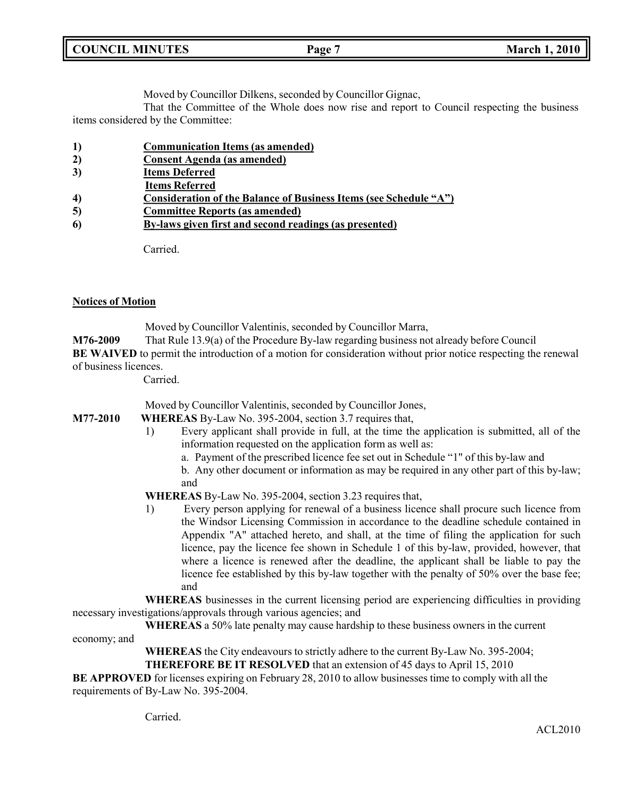| <b>COUNCIL</b><br><b>MINUTES</b> | Page | <b>March 1, 2010</b> |
|----------------------------------|------|----------------------|
|                                  |      |                      |

Moved by Councillor Dilkens, seconded by Councillor Gignac,

That the Committee of the Whole does now rise and report to Council respecting the business items considered by the Committee:

- **1) Communication Items (as amended)**
- **2) Consent Agenda (as amended)**
- **3) Items Deferred**
- **Items Referred**
- **4) Consideration of the Balance of Business Items (see Schedule "A")**
- **5) Committee Reports (as amended)**
- **6) By-laws given first and second readings (as presented)**

Carried.

## **Notices of Motion**

Moved by Councillor Valentinis, seconded by Councillor Marra,

**M76-2009** That Rule 13.9(a) of the Procedure By-law regarding business not already before Council

**BE WAIVED** to permit the introduction of a motion for consideration without prior notice respecting the renewal of business licences.

Carried.

Moved by Councillor Valentinis, seconded by Councillor Jones,

**M77-2010 WHEREAS** By-Law No. 395-2004, section 3.7 requires that,

- 1) Every applicant shall provide in full, at the time the application is submitted, all of the information requested on the application form as well as:
	- a. Payment of the prescribed licence fee set out in Schedule "1" of this by-law and

b. Any other document or information as may be required in any other part of this by-law; and

**WHEREAS** By-Law No. 395-2004, section 3.23 requires that,

1) Every person applying for renewal of a business licence shall procure such licence from the Windsor Licensing Commission in accordance to the deadline schedule contained in Appendix "A" attached hereto, and shall, at the time of filing the application for such licence, pay the licence fee shown in Schedule 1 of this by-law, provided, however, that where a licence is renewed after the deadline, the applicant shall be liable to pay the licence fee established by this by-law together with the penalty of 50% over the base fee; and

**WHEREAS** businesses in the current licensing period are experiencing difficulties in providing necessary investigations/approvals through various agencies; and

**WHEREAS** a 50% late penalty may cause hardship to these business owners in the current

economy; and

**WHEREAS** the City endeavours to strictly adhere to the current By-Law No. 395-2004;

**THEREFORE BE IT RESOLVED** that an extension of 45 days to April 15, 2010

**BE APPROVED** for licenses expiring on February 28, 2010 to allow businesses time to comply with all the requirements of By-Law No. 395-2004.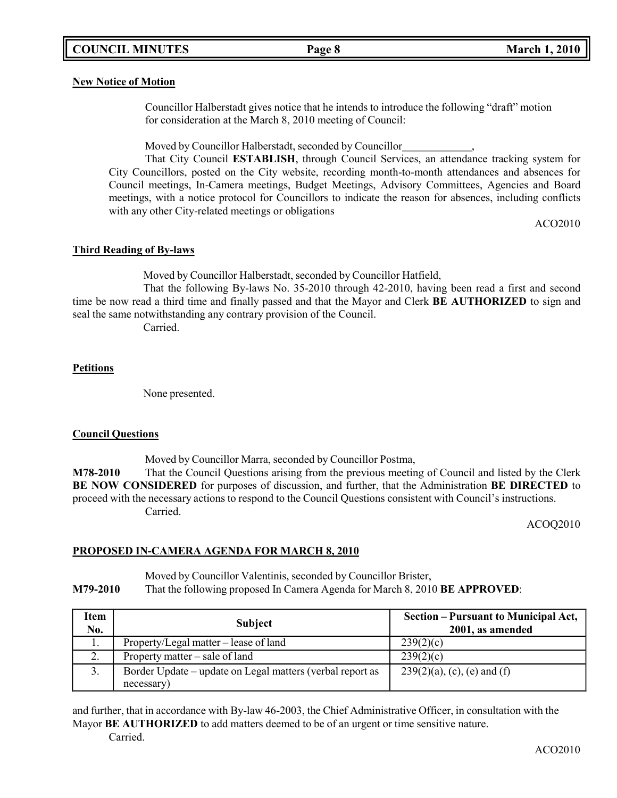## **COUNCIL MINUTES Page 8 March 1, 2010**

### **New Notice of Motion**

Councillor Halberstadt gives notice that he intends to introduce the following "draft" motion for consideration at the March 8, 2010 meeting of Council:

Moved by Councillor Halberstadt, seconded by Councillor ,

That City Council **ESTABLISH**, through Council Services, an attendance tracking system for City Councillors, posted on the City website, recording month-to-month attendances and absences for Council meetings, In-Camera meetings, Budget Meetings, Advisory Committees, Agencies and Board meetings, with a notice protocol for Councillors to indicate the reason for absences, including conflicts with any other City-related meetings or obligations

ACO2010

## **Third Reading of By-laws**

Moved by Councillor Halberstadt, seconded by Councillor Hatfield,

That the following By-laws No. 35-2010 through 42-2010, having been read a first and second time be now read a third time and finally passed and that the Mayor and Clerk **BE AUTHORIZED** to sign and seal the same notwithstanding any contrary provision of the Council.

Carried.

## **Petitions**

None presented.

## **Council Questions**

Moved by Councillor Marra, seconded by Councillor Postma,

**M78-2010** That the Council Questions arising from the previous meeting of Council and listed by the Clerk **BE NOW CONSIDERED** for purposes of discussion, and further, that the Administration **BE DIRECTED** to proceed with the necessary actions to respond to the Council Questions consistent with Council's instructions. Carried.

ACOQ2010

## **PROPOSED IN-CAMERA AGENDA FOR MARCH 8, 2010**

Moved by Councillor Valentinis, seconded by Councillor Brister,

**M79-2010** That the following proposed In Camera Agenda for March 8, 2010 **BE APPROVED**:

| Item<br>No.         | <b>Subject</b>                                                          | Section – Pursuant to Municipal Act,<br>2001, as amended |
|---------------------|-------------------------------------------------------------------------|----------------------------------------------------------|
| 1.                  | Property/Legal matter – lease of land                                   | 239(2)(c)                                                |
| $\mathcal{D}$<br>۷. | Property matter – sale of land                                          | 239(2)(c)                                                |
| 3.                  | Border Update – update on Legal matters (verbal report as<br>necessary) | $239(2)(a)$ , (c), (e) and (f)                           |

and further, that in accordance with By-law 46-2003, the Chief Administrative Officer, in consultation with the Mayor **BE AUTHORIZED** to add matters deemed to be of an urgent or time sensitive nature. Carried.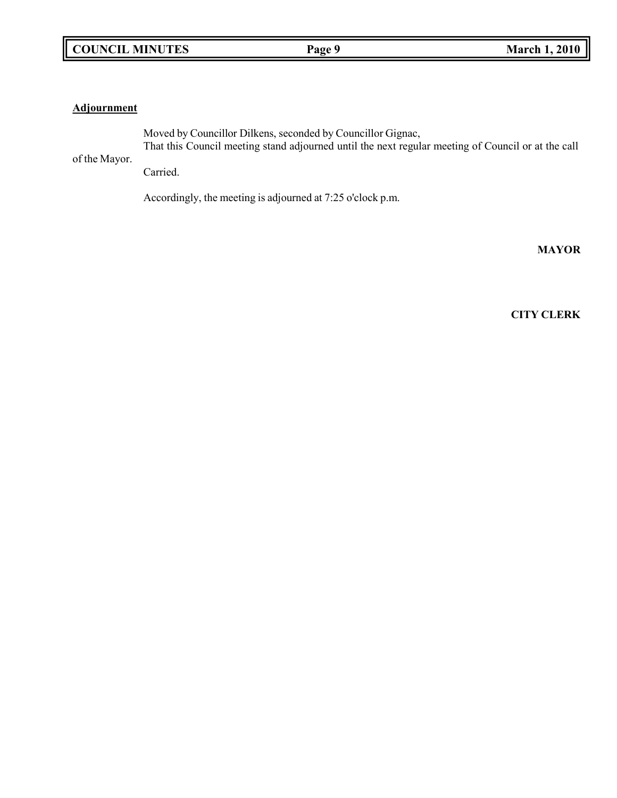## **Adjournment**

Moved by Councillor Dilkens, seconded by Councillor Gignac,

of the Mayor. That this Council meeting stand adjourned until the next regular meeting of Council or at the call

Carried.

Accordingly, the meeting is adjourned at 7:25 o'clock p.m.

**MAYOR**

**CITY CLERK**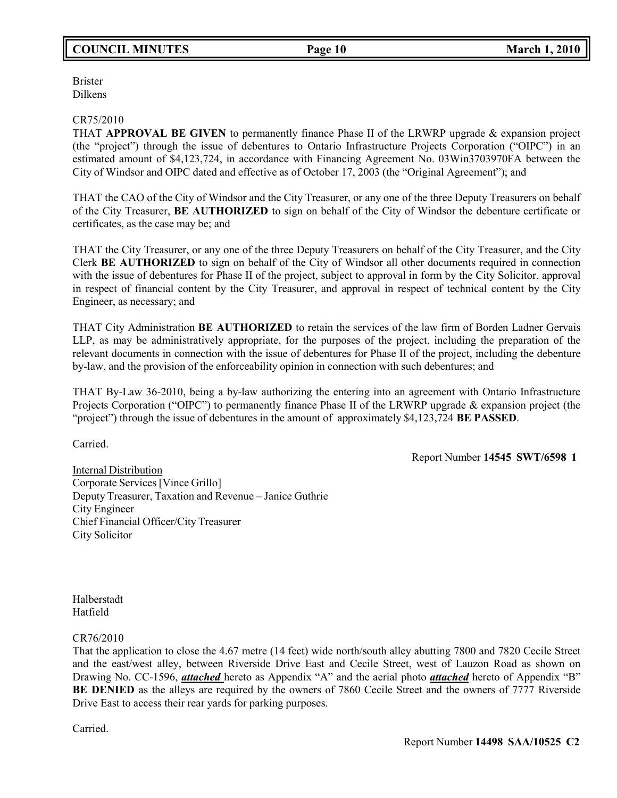## **COUNCIL MINUTES Page 10 March 1, 2010**

Brister Dilkens

### CR75/2010

THAT **APPROVAL BE GIVEN** to permanently finance Phase II of the LRWRP upgrade & expansion project (the "project") through the issue of debentures to Ontario Infrastructure Projects Corporation ("OIPC") in an estimated amount of \$4,123,724, in accordance with Financing Agreement No. 03Win3703970FA between the City of Windsor and OIPC dated and effective as of October 17, 2003 (the "Original Agreement"); and

THAT the CAO of the City of Windsor and the City Treasurer, or any one of the three Deputy Treasurers on behalf of the City Treasurer, **BE AUTHORIZED** to sign on behalf of the City of Windsor the debenture certificate or certificates, as the case may be; and

THAT the City Treasurer, or any one of the three Deputy Treasurers on behalf of the City Treasurer, and the City Clerk **BE AUTHORIZED** to sign on behalf of the City of Windsor all other documents required in connection with the issue of debentures for Phase II of the project, subject to approval in form by the City Solicitor, approval in respect of financial content by the City Treasurer, and approval in respect of technical content by the City Engineer, as necessary; and

THAT City Administration **BE AUTHORIZED** to retain the services of the law firm of Borden Ladner Gervais LLP, as may be administratively appropriate, for the purposes of the project, including the preparation of the relevant documents in connection with the issue of debentures for Phase II of the project, including the debenture by-law, and the provision of the enforceability opinion in connection with such debentures; and

THAT By-Law 36-2010, being a by-law authorizing the entering into an agreement with Ontario Infrastructure Projects Corporation ("OIPC") to permanently finance Phase II of the LRWRP upgrade & expansion project (the "project") through the issue of debentures in the amount of approximately \$4,123,724 **BE PASSED**.

Carried.

Report Number **14545 SWT/6598 1**

Internal Distribution Corporate Services [Vince Grillo] Deputy Treasurer, Taxation and Revenue – Janice Guthrie City Engineer Chief Financial Officer/City Treasurer City Solicitor

Halberstadt Hatfield

### CR76/2010

That the application to close the 4.67 metre (14 feet) wide north/south alley abutting 7800 and 7820 Cecile Street and the east/west alley, between Riverside Drive East and Cecile Street, west of Lauzon Road as shown on Drawing No. CC-1596, *attached* hereto as Appendix "A" and the aerial photo *attached* hereto of Appendix "B" **BE DENIED** as the alleys are required by the owners of 7860 Cecile Street and the owners of 7777 Riverside Drive East to access their rear yards for parking purposes.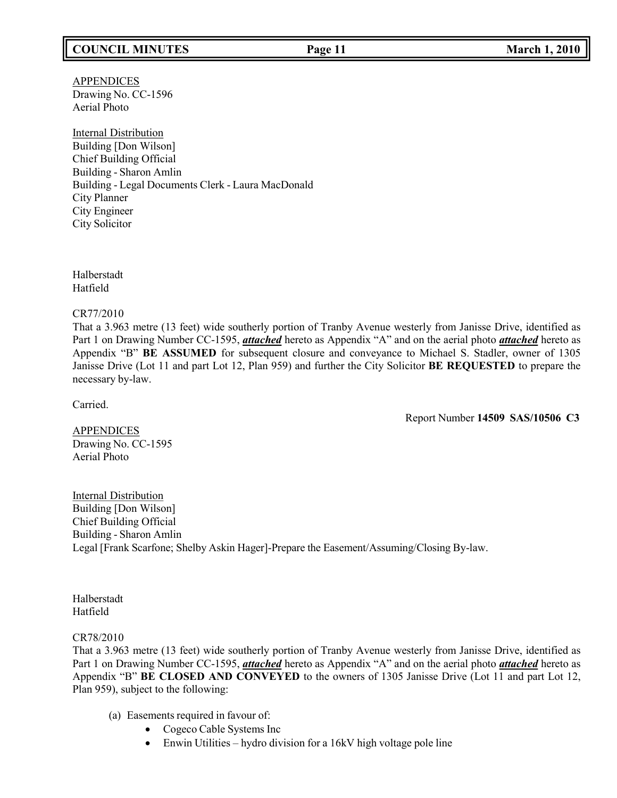## **COUNCIL MINUTES Page 11 March 1, 2010**

## APPENDICES Drawing No. CC-1596 Aerial Photo

Internal Distribution Building [Don Wilson] Chief Building Official Building - Sharon Amlin Building - Legal Documents Clerk - Laura MacDonald City Planner City Engineer City Solicitor

Halberstadt Hatfield

### CR77/2010

That a 3.963 metre (13 feet) wide southerly portion of Tranby Avenue westerly from Janisse Drive, identified as Part 1 on Drawing Number CC-1595, *attached* hereto as Appendix "A" and on the aerial photo *attached* hereto as Appendix "B" **BE ASSUMED** for subsequent closure and conveyance to Michael S. Stadler, owner of 1305 Janisse Drive (Lot 11 and part Lot 12, Plan 959) and further the City Solicitor **BE REQUESTED** to prepare the necessary by-law.

Carried.

Report Number **14509 SAS/10506 C3**

**APPENDICES** Drawing No. CC-1595 Aerial Photo

Internal Distribution Building [Don Wilson] Chief Building Official Building - Sharon Amlin Legal [Frank Scarfone; Shelby Askin Hager]-Prepare the Easement/Assuming/Closing By-law.

Halberstadt Hatfield

## CR78/2010

That a 3.963 metre (13 feet) wide southerly portion of Tranby Avenue westerly from Janisse Drive, identified as Part 1 on Drawing Number CC-1595, *attached* hereto as Appendix "A" and on the aerial photo *attached* hereto as Appendix "B" **BE CLOSED AND CONVEYED** to the owners of 1305 Janisse Drive (Lot 11 and part Lot 12, Plan 959), subject to the following:

- (a) Easements required in favour of:
	- Cogeco Cable Systems Inc
	- Enwin Utilities hydro division for a 16kV high voltage pole line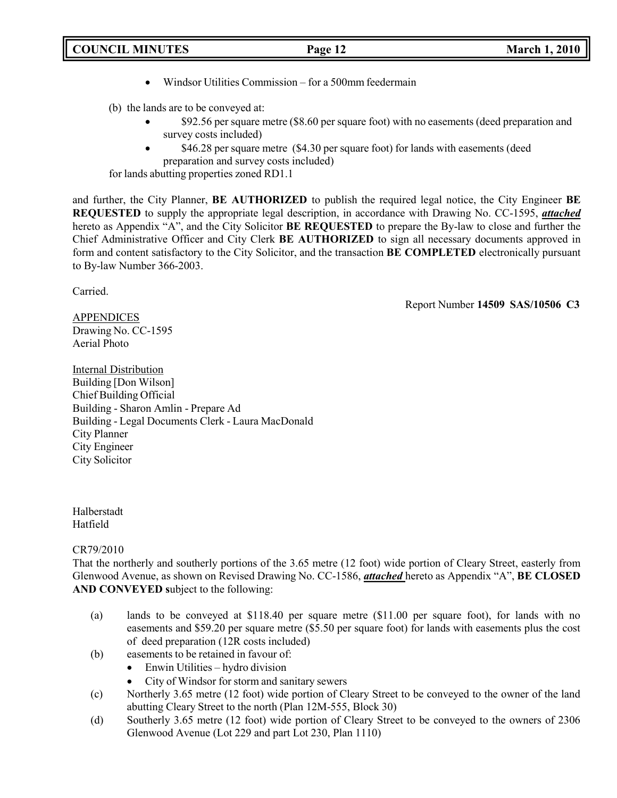## • Windsor Utilities Commission – for a 500mm feedermain

(b) the lands are to be conveyed at:

- \$92.56 per square metre (\$8.60 per square foot) with no easements (deed preparation and survey costs included)
- \$46.28 per square metre (\$4.30 per square foot) for lands with easements (deed preparation and survey costs included)

for lands abutting properties zoned RD1.1

and further, the City Planner, **BE AUTHORIZED** to publish the required legal notice, the City Engineer **BE REQUESTED** to supply the appropriate legal description, in accordance with Drawing No. CC-1595, *attached* hereto as Appendix "A", and the City Solicitor **BE REQUESTED** to prepare the By-law to close and further the Chief Administrative Officer and City Clerk **BE AUTHORIZED** to sign all necessary documents approved in form and content satisfactory to the City Solicitor, and the transaction **BE COMPLETED** electronically pursuant to By-law Number 366-2003.

Carried.

Report Number **14509 SAS/10506 C3**

APPENDICES Drawing No. CC-1595 Aerial Photo

Internal Distribution Building [Don Wilson] Chief Building Official Building - Sharon Amlin - Prepare Ad Building - Legal Documents Clerk - Laura MacDonald City Planner City Engineer City Solicitor

Halberstadt Hatfield

## CR79/2010

That the northerly and southerly portions of the 3.65 metre (12 foot) wide portion of Cleary Street, easterly from Glenwood Avenue, as shown on Revised Drawing No. CC-1586, *attached* hereto as Appendix "A", **BE CLOSED AND CONVEYED s**ubject to the following:

- (a) lands to be conveyed at \$118.40 per square metre (\$11.00 per square foot), for lands with no easements and \$59.20 per square metre (\$5.50 per square foot) for lands with easements plus the cost of deed preparation (12R costs included)
- (b) easements to be retained in favour of:
	- Enwin Utilities hydro division
	- City of Windsor for storm and sanitary sewers
- (c) Northerly 3.65 metre (12 foot) wide portion of Cleary Street to be conveyed to the owner of the land abutting Cleary Street to the north (Plan 12M-555, Block 30)
- (d) Southerly 3.65 metre (12 foot) wide portion of Cleary Street to be conveyed to the owners of 2306 Glenwood Avenue (Lot 229 and part Lot 230, Plan 1110)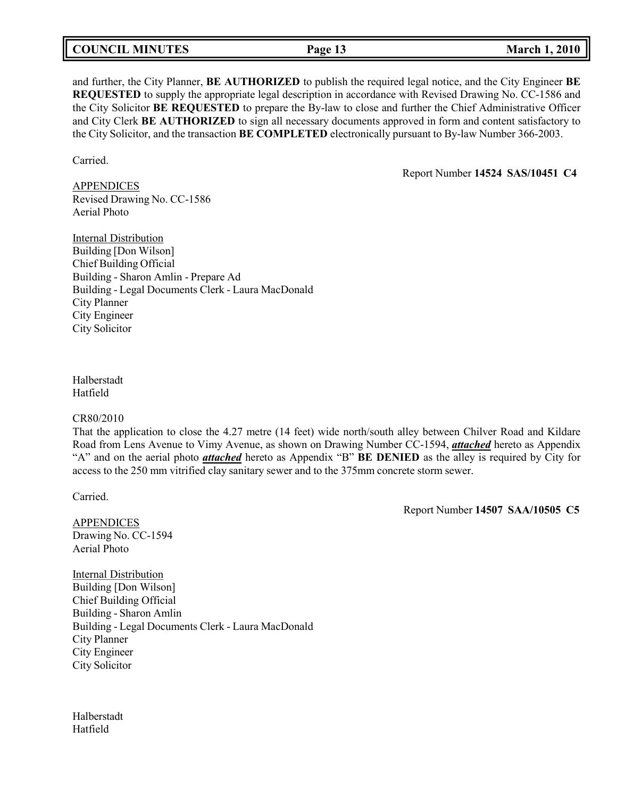| <b>COUNCIL MINUTES</b> | Page 13 | <b>March 1, 2010</b> |
|------------------------|---------|----------------------|
|------------------------|---------|----------------------|

and further, the City Planner, **BE AUTHORIZED** to publish the required legal notice, and the City Engineer **BE REQUESTED** to supply the appropriate legal description in accordance with Revised Drawing No. CC-1586 and the City Solicitor **BE REQUESTED** to prepare the By-law to close and further the Chief Administrative Officer and City Clerk **BE AUTHORIZED** to sign all necessary documents approved in form and content satisfactory to the City Solicitor, and the transaction **BE COMPLETED** electronically pursuant to By-law Number 366-2003.

Carried.

Report Number **14524 SAS/10451 C4**

APPENDICES Revised Drawing No. CC-1586 Aerial Photo

Internal Distribution Building [Don Wilson] Chief Building Official Building - Sharon Amlin - Prepare Ad Building - Legal Documents Clerk - Laura MacDonald City Planner City Engineer City Solicitor

Halberstadt Hatfield

### CR80/2010

That the application to close the 4.27 metre (14 feet) wide north/south alley between Chilver Road and Kildare Road from Lens Avenue to Vimy Avenue, as shown on Drawing Number CC-1594, *attached* hereto as Appendix "A" and on the aerial photo *attached* hereto as Appendix "B" **BE DENIED** as the alley is required by City for access to the 250 mm vitrified clay sanitary sewer and to the 375mm concrete storm sewer.

Carried.

Report Number **14507 SAA/10505 C5**

APPENDICES Drawing No. CC-1594 Aerial Photo

Internal Distribution Building [Don Wilson] Chief Building Official Building - Sharon Amlin Building - Legal Documents Clerk - Laura MacDonald City Planner City Engineer City Solicitor

Halberstadt Hatfield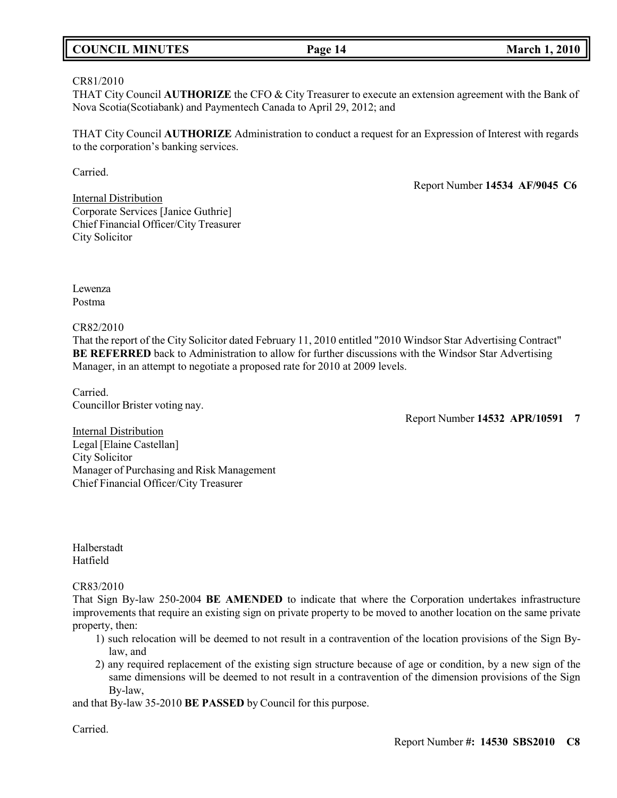## **COUNCIL MINUTES Page 14 March 1, 2010**

## CR81/2010

THAT City Council **AUTHORIZE** the CFO & City Treasurer to execute an extension agreement with the Bank of Nova Scotia(Scotiabank) and Paymentech Canada to April 29, 2012; and

THAT City Council **AUTHORIZE** Administration to conduct a request for an Expression of Interest with regards to the corporation's banking services.

Carried.

Report Number **14534 AF/9045 C6**

Internal Distribution Corporate Services [Janice Guthrie] Chief Financial Officer/City Treasurer City Solicitor

Lewenza Postma

CR82/2010

That the report of the City Solicitor dated February 11, 2010 entitled "2010 Windsor Star Advertising Contract" **BE REFERRED** back to Administration to allow for further discussions with the Windsor Star Advertising Manager, in an attempt to negotiate a proposed rate for 2010 at 2009 levels.

Carried. Councillor Brister voting nay.

Report Number **14532 APR/10591 7**

Internal Distribution Legal [Elaine Castellan] City Solicitor Manager of Purchasing and Risk Management Chief Financial Officer/City Treasurer

Halberstadt Hatfield

## CR83/2010

That Sign By-law 250-2004 **BE AMENDED** to indicate that where the Corporation undertakes infrastructure improvements that require an existing sign on private property to be moved to another location on the same private property, then:

- 1) such relocation will be deemed to not result in a contravention of the location provisions of the Sign Bylaw, and
- 2) any required replacement of the existing sign structure because of age or condition, by a new sign of the same dimensions will be deemed to not result in a contravention of the dimension provisions of the Sign By-law,

and that By-law 35-2010 **BE PASSED** by Council for this purpose.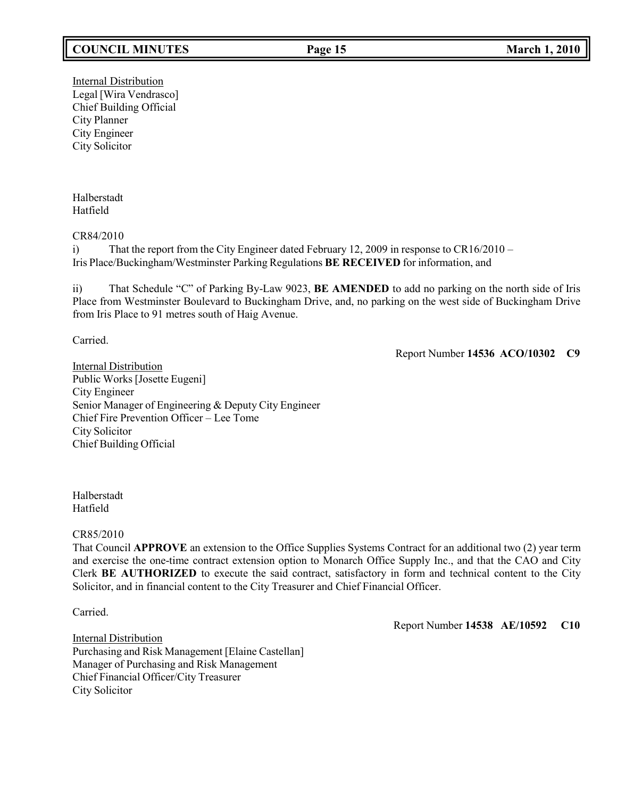## **COUNCIL MINUTES Page 15 March 1, 2010**

Internal Distribution Legal [Wira Vendrasco] Chief Building Official City Planner City Engineer City Solicitor

Halberstadt Hatfield

CR84/2010

i) That the report from the City Engineer dated February 12, 2009 in response to CR16/2010 – Iris Place/Buckingham/Westminster Parking Regulations **BE RECEIVED** for information, and

ii) That Schedule "C" of Parking By-Law 9023, **BE AMENDED** to add no parking on the north side of Iris Place from Westminster Boulevard to Buckingham Drive, and, no parking on the west side of Buckingham Drive from Iris Place to 91 metres south of Haig Avenue.

Carried.

Report Number **14536 ACO/10302 C9**

Internal Distribution Public Works [Josette Eugeni] City Engineer Senior Manager of Engineering & Deputy City Engineer Chief Fire Prevention Officer – Lee Tome City Solicitor Chief Building Official

Halberstadt Hatfield

### CR85/2010

That Council **APPROVE** an extension to the Office Supplies Systems Contract for an additional two (2) year term and exercise the one-time contract extension option to Monarch Office Supply Inc., and that the CAO and City Clerk **BE AUTHORIZED** to execute the said contract, satisfactory in form and technical content to the City Solicitor, and in financial content to the City Treasurer and Chief Financial Officer.

Carried.

Report Number **14538 AE/10592 C10**

Internal Distribution Purchasing and Risk Management [Elaine Castellan] Manager of Purchasing and Risk Management Chief Financial Officer/City Treasurer City Solicitor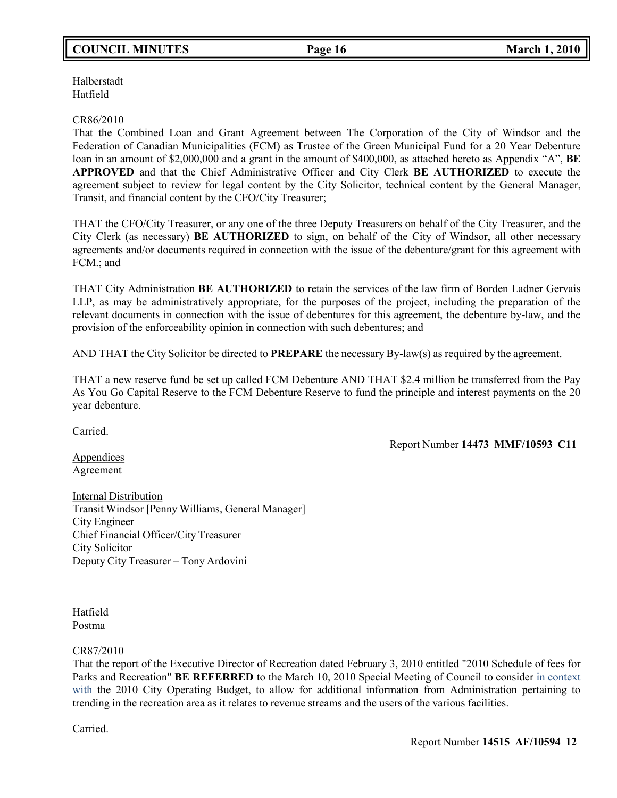## **COUNCIL MINUTES Page 16 March 1, 2010**

Halberstadt Hatfield

### CR86/2010

That the Combined Loan and Grant Agreement between The Corporation of the City of Windsor and the Federation of Canadian Municipalities (FCM) as Trustee of the Green Municipal Fund for a 20 Year Debenture loan in an amount of \$2,000,000 and a grant in the amount of \$400,000, as attached hereto as Appendix "A", **BE APPROVED** and that the Chief Administrative Officer and City Clerk **BE AUTHORIZED** to execute the agreement subject to review for legal content by the City Solicitor, technical content by the General Manager, Transit, and financial content by the CFO/City Treasurer;

THAT the CFO/City Treasurer, or any one of the three Deputy Treasurers on behalf of the City Treasurer, and the City Clerk (as necessary) **BE AUTHORIZED** to sign, on behalf of the City of Windsor, all other necessary agreements and/or documents required in connection with the issue of the debenture/grant for this agreement with FCM.; and

THAT City Administration **BE AUTHORIZED** to retain the services of the law firm of Borden Ladner Gervais LLP, as may be administratively appropriate, for the purposes of the project, including the preparation of the relevant documents in connection with the issue of debentures for this agreement, the debenture by-law, and the provision of the enforceability opinion in connection with such debentures; and

AND THAT the City Solicitor be directed to **PREPARE** the necessary By-law(s) as required by the agreement.

THAT a new reserve fund be set up called FCM Debenture AND THAT \$2.4 million be transferred from the Pay As You Go Capital Reserve to the FCM Debenture Reserve to fund the principle and interest payments on the 20 year debenture.

Carried.

Report Number **14473 MMF/10593 C11**

Appendices Agreement

Internal Distribution Transit Windsor [Penny Williams, General Manager] City Engineer Chief Financial Officer/City Treasurer City Solicitor Deputy City Treasurer – Tony Ardovini

Hatfield Postma

CR87/2010

That the report of the Executive Director of Recreation dated February 3, 2010 entitled "2010 Schedule of fees for Parks and Recreation" **BE REFERRED** to the March 10, 2010 Special Meeting of Council to consider in context with the 2010 City Operating Budget, to allow for additional information from Administration pertaining to trending in the recreation area as it relates to revenue streams and the users of the various facilities.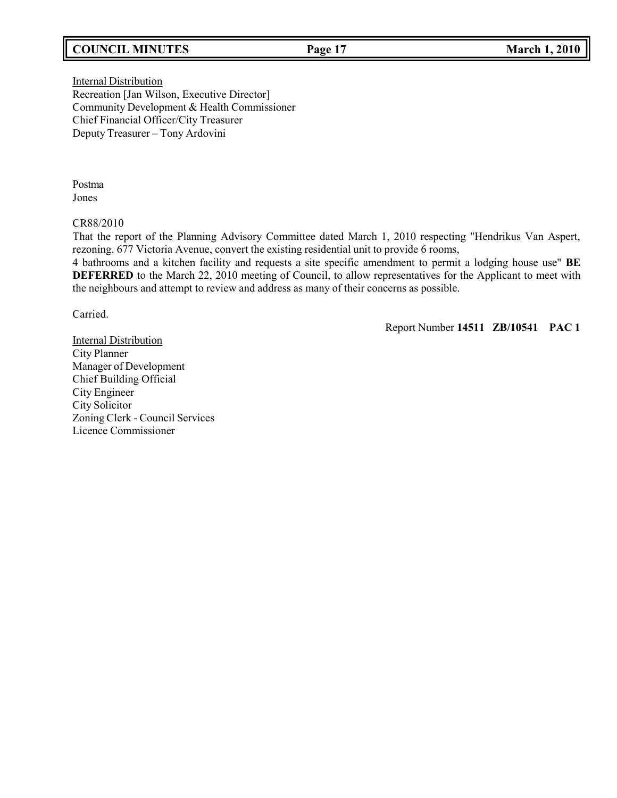## **COUNCIL MINUTES Page 17 March 1, 2010**

Internal Distribution Recreation [Jan Wilson, Executive Director] Community Development & Health Commissioner Chief Financial Officer/City Treasurer Deputy Treasurer – Tony Ardovini

Postma Jones

#### CR88/2010

That the report of the Planning Advisory Committee dated March 1, 2010 respecting "Hendrikus Van Aspert, rezoning, 677 Victoria Avenue, convert the existing residential unit to provide 6 rooms,

4 bathrooms and a kitchen facility and requests a site specific amendment to permit a lodging house use" **BE DEFERRED** to the March 22, 2010 meeting of Council, to allow representatives for the Applicant to meet with the neighbours and attempt to review and address as many of their concerns as possible.

Carried.

Report Number **14511 ZB/10541 PAC 1**

Internal Distribution City Planner Manager of Development Chief Building Official City Engineer City Solicitor Zoning Clerk - Council Services Licence Commissioner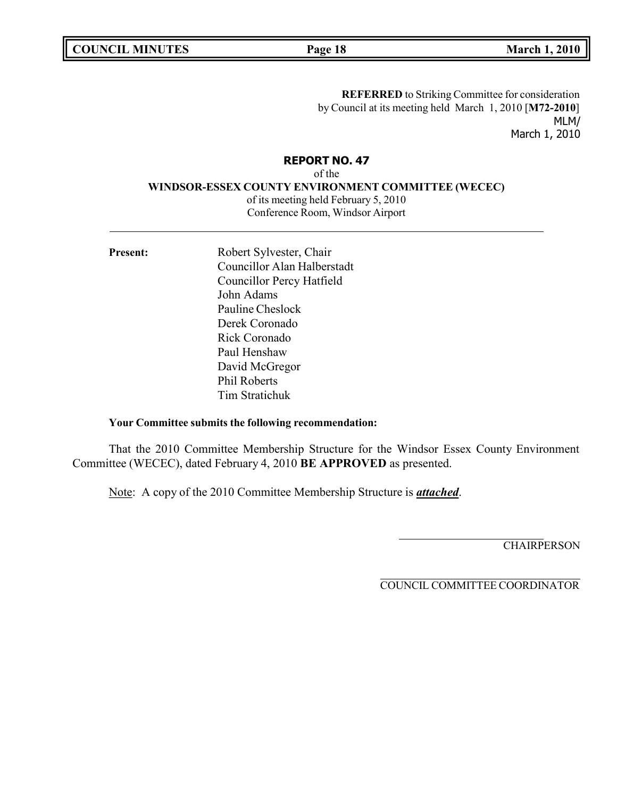**COUNCIL MINUTES Page 18 March 1, 2010**

**REFERRED** to Striking Committee for consideration by Council at its meeting held March 1, 2010 [**M72-2010**] MLM/ March 1, 2010

## **REPORT NO. 47**

of the **WINDSOR-ESSEX COUNTY ENVIRONMENT COMMITTEE (WECEC)** of its meeting held February 5, 2010 Conference Room, Windsor Airport

Present: Robert Sylvester, Chair Councillor Alan Halberstadt Councillor Percy Hatfield John Adams Pauline Cheslock Derek Coronado Rick Coronado Paul Henshaw David McGregor Phil Roberts Tim Stratichuk

### **Your Committee submits the following recommendation:**

That the 2010 Committee Membership Structure for the Windsor Essex County Environment Committee (WECEC), dated February 4, 2010 **BE APPROVED** as presented.

Note: A copy of the 2010 Committee Membership Structure is *attached*.

**CHAIRPERSON** 

COUNCIL COMMITTEE COORDINATOR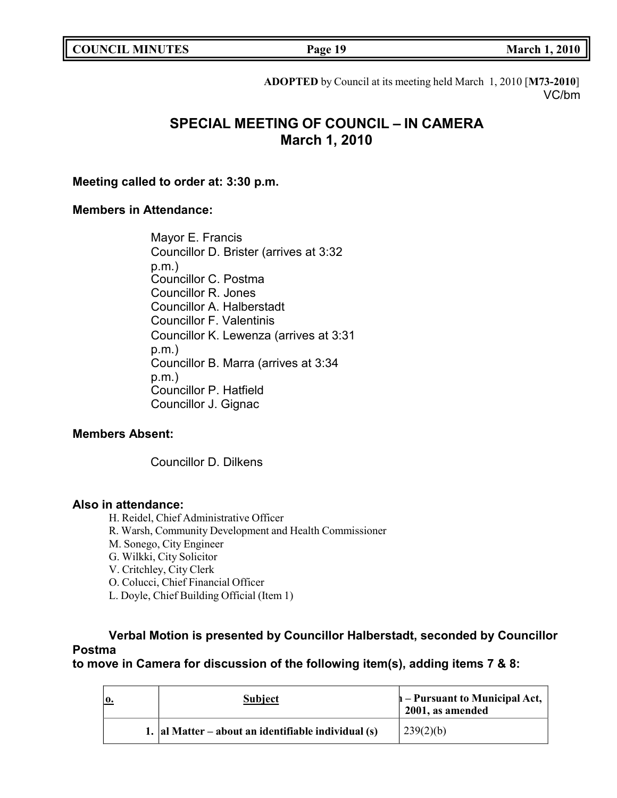|  | <b>COUNCIL MINUTES</b> |
|--|------------------------|
|--|------------------------|

**COUNCIL MINUTES Page 19 March 1, 2010**

**ADOPTED** by Council at its meeting held March 1, 2010 [**M73-2010**] VC/bm

# **SPECIAL MEETING OF COUNCIL – IN CAMERA March 1, 2010**

**Meeting called to order at: 3:30 p.m.**

## **Members in Attendance:**

Mayor E. Francis Councillor D. Brister (arrives at 3:32 p.m.) Councillor C. Postma Councillor R. Jones Councillor A. Halberstadt Councillor F. Valentinis Councillor K. Lewenza (arrives at 3:31 p.m.) Councillor B. Marra (arrives at 3:34 p.m.) Councillor P. Hatfield Councillor J. Gignac

## **Members Absent:**

Councillor D. Dilkens

## **Also in attendance:**

- H. Reidel, Chief Administrative Officer
- R. Warsh, Community Development and Health Commissioner
- M. Sonego, City Engineer
- G. Wilkki, City Solicitor
- V. Critchley, City Clerk
- O. Colucci, Chief Financial Officer
- L. Doyle, Chief Building Official (Item 1)

# **Verbal Motion is presented by Councillor Halberstadt, seconded by Councillor Postma**

**to move in Camera for discussion of the following item(s), adding items 7 & 8:**

|  | <b>Subject</b>                                            | h – Pursuant to Municipal Act,<br>2001, as amended |
|--|-----------------------------------------------------------|----------------------------------------------------|
|  | 1. $ $ al Matter – about an identifiable individual $(s)$ | 239(2)(b)                                          |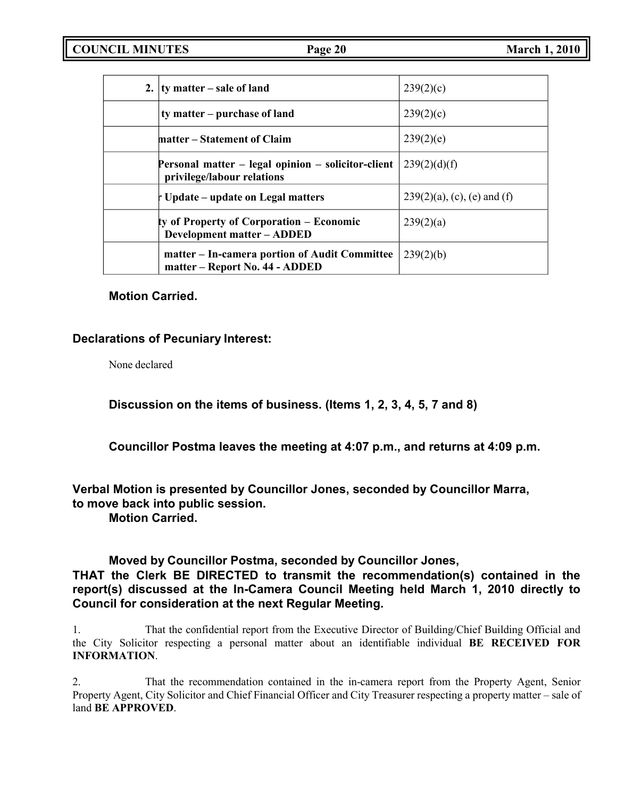| 2. $\frac{1}{2}$ ty matter – sale of land                                        | 239(2)(c)                      |
|----------------------------------------------------------------------------------|--------------------------------|
| ty matter – purchase of land                                                     | 239(2)(c)                      |
| matter – Statement of Claim                                                      | 239(2)(e)                      |
| Personal matter – legal opinion – solicitor-client<br>privilege/labour relations | 239(2)(d)(f)                   |
| t Update – update on Legal matters                                               | $239(2)(a)$ , (c), (e) and (f) |
| ty of Property of Corporation – Economic<br><b>Development matter - ADDED</b>    | 239(2)(a)                      |
| matter – In-camera portion of Audit Committee<br>matter – Report No. 44 - ADDED  | 239(2)(b)                      |

## **Motion Carried.**

## **Declarations of Pecuniary Interest:**

None declared

**Discussion on the items of business. (Items 1, 2, 3, 4, 5, 7 and 8)**

**Councillor Postma leaves the meeting at 4:07 p.m., and returns at 4:09 p.m.**

**Verbal Motion is presented by Councillor Jones, seconded by Councillor Marra, to move back into public session.**

**Motion Carried.**

## **Moved by Councillor Postma, seconded by Councillor Jones,**

**THAT the Clerk BE DIRECTED to transmit the recommendation(s) contained in the report(s) discussed at the In-Camera Council Meeting held March 1, 2010 directly to Council for consideration at the next Regular Meeting.**

1. That the confidential report from the Executive Director of Building/Chief Building Official and the City Solicitor respecting a personal matter about an identifiable individual **BE RECEIVED FOR INFORMATION**.

2. That the recommendation contained in the in-camera report from the Property Agent, Senior Property Agent, City Solicitor and Chief Financial Officer and City Treasurer respecting a property matter – sale of land **BE APPROVED**.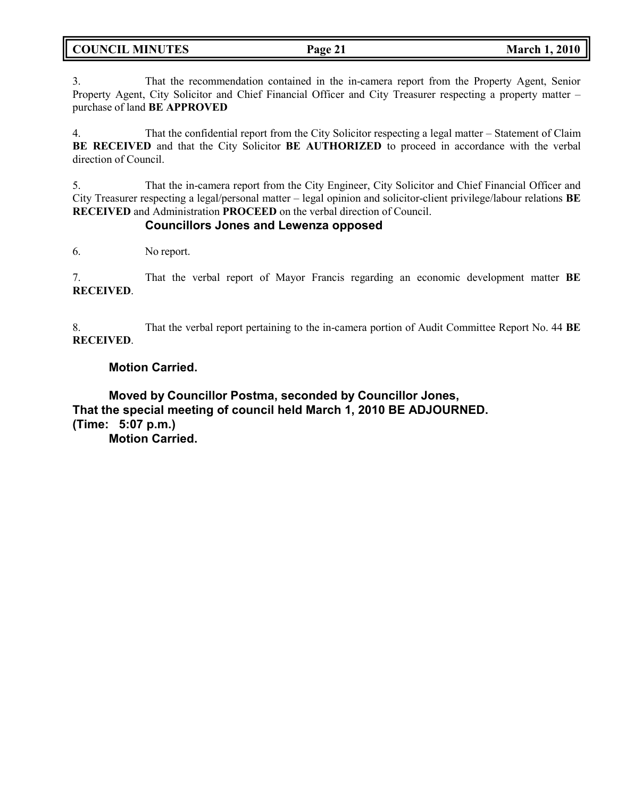| <b>COUNCIL MINUTES</b> | Page 21 | <b>March 1, 2010</b> |
|------------------------|---------|----------------------|
|                        |         |                      |

3. That the recommendation contained in the in-camera report from the Property Agent, Senior Property Agent, City Solicitor and Chief Financial Officer and City Treasurer respecting a property matter – purchase of land **BE APPROVED**

4. That the confidential report from the City Solicitor respecting a legal matter – Statement of Claim **BE RECEIVED** and that the City Solicitor **BE AUTHORIZED** to proceed in accordance with the verbal direction of Council.

5. That the in-camera report from the City Engineer, City Solicitor and Chief Financial Officer and City Treasurer respecting a legal/personal matter – legal opinion and solicitor-client privilege/labour relations **BE RECEIVED** and Administration **PROCEED** on the verbal direction of Council.

## **Councillors Jones and Lewenza opposed**

6. No report.

7. That the verbal report of Mayor Francis regarding an economic development matter **BE RECEIVED**.

8. That the verbal report pertaining to the in-camera portion of Audit Committee Report No. 44 **BE RECEIVED**.

## **Motion Carried.**

**Moved by Councillor Postma, seconded by Councillor Jones, That the special meeting of council held March 1, 2010 BE ADJOURNED. (Time: 5:07 p.m.) Motion Carried.**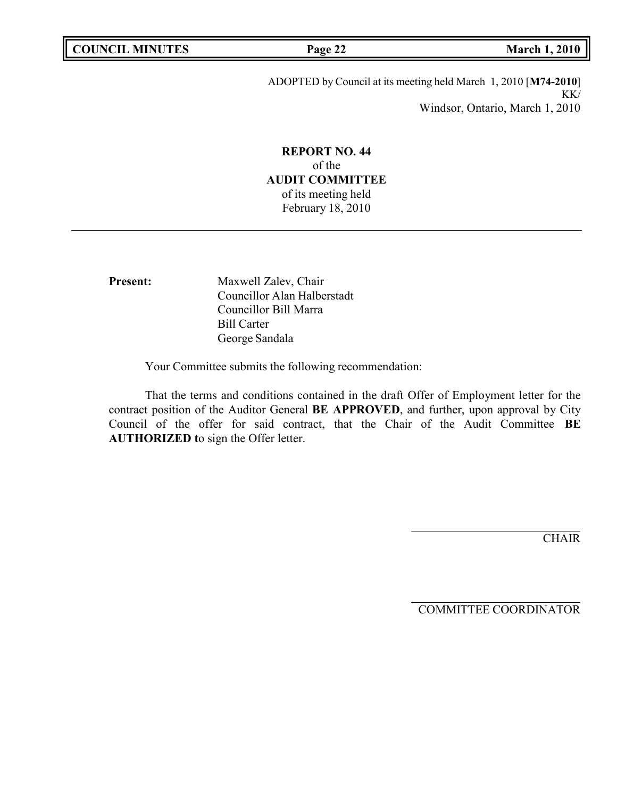ADOPTED by Council at its meeting held March 1, 2010 [**M74-2010**] KK/ Windsor, Ontario, March 1, 2010

## **REPORT NO. 44** of the **AUDIT COMMITTEE** of its meeting held February 18, 2010

Present: Maxwell Zalev, Chair Councillor Alan Halberstadt Councillor Bill Marra Bill Carter George Sandala

Your Committee submits the following recommendation:

That the terms and conditions contained in the draft Offer of Employment letter for the contract position of the Auditor General **BE APPROVED**, and further, upon approval by City Council of the offer for said contract, that the Chair of the Audit Committee **BE AUTHORIZED t**o sign the Offer letter.

**CHAIR** 

COMMITTEE COORDINATOR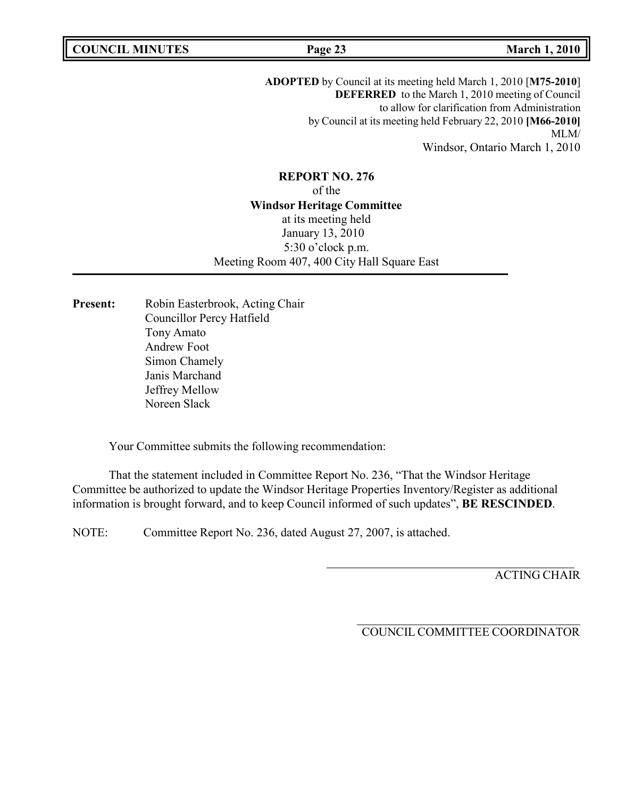**COUNCIL MINUTES Page 23 March 1, 2010**

**ADOPTED** by Council at its meeting held March 1, 2010 [**M75-2010**] **DEFERRED** to the March 1, 2010 meeting of Council to allow for clarification from Administration by Council at its meeting held February 22, 2010 **[M66-2010]** MLM/ Windsor, Ontario March 1, 2010

**REPORT NO. 276** of the **Windsor Heritage Committee** at its meeting held January 13, 2010 5:30 o'clock p.m. Meeting Room 407, 400 City Hall Square East

Present: Robin Easterbrook, Acting Chair Councillor Percy Hatfield Tony Amato Andrew Foot Simon Chamely Janis Marchand Jeffrey Mellow Noreen Slack

Your Committee submits the following recommendation:

That the statement included in Committee Report No. 236, "That the Windsor Heritage Committee be authorized to update the Windsor Heritage Properties Inventory/Register as additional information is brought forward, and to keep Council informed of such updates", **BE RESCINDED**.

NOTE: Committee Report No. 236, dated August 27, 2007, is attached.

ACTING CHAIR

COUNCIL COMMITTEE COORDINATOR